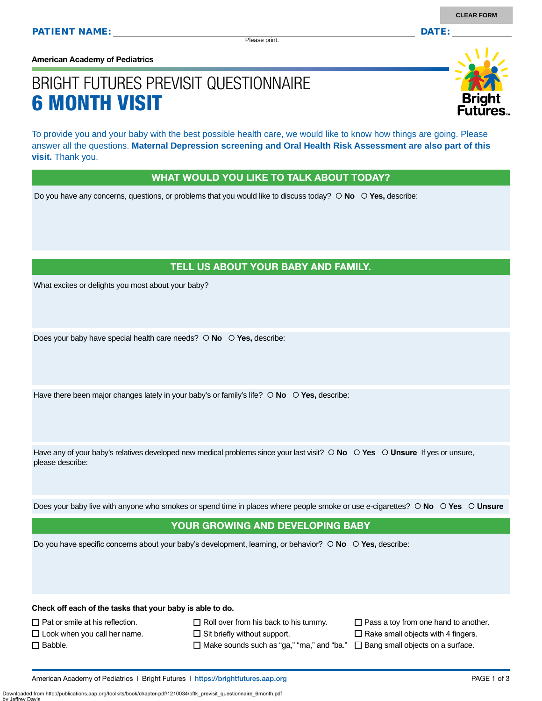Please print.

**American Academy of Pediatrics**

# BRIGHT FUTURES PREVISIT QUESTIONNAIRE 6 MONTH VISIT



To provide you and your baby with the best possible health care, we would like to know how things are going. Please answer all the questions. **Maternal Depression screening and Oral Health Risk Assessment are also part of this visit.** Thank you.

#### WHAT WOULD YOU LIKE TO TALK ABOUT TODAY?

Do you have any concerns, questions, or problems that you would like to discuss today?  $\circ$  **No**  $\circ$  **Yes**, describe:

### TELL US ABOUT YOUR BABY AND FAMILY.

What excites or delights you most about your baby?

Does your baby have special health care needs?  $\circ$  **No**  $\circ$  **Yes**, describe:

Have there been major changes lately in your baby's or family's life?  $\circ$  No  $\circ$  Yes, describe:

Have any of your baby's relatives developed new medical problems since your last visit?  $\circ$  **No**  $\circ$  **Yes**  $\circ$  **Unsure** If yes or unsure, please describe:

Does your baby live with anyone who smokes or spend time in places where people smoke or use e-cigarettes?  **No Yes Unsure**

#### YOUR GROWING AND DEVELOPING BABY

Do you have specific concerns about your baby's development, learning, or behavior?  **No Yes,** describe:

**Check off each of the tasks that your baby is able to do.**

 $\Box$  Pat or smile at his reflection.

□ Babble.

 $\square$  Look when you call her name.

- $\Box$  Roll over from his back to his tummy.
- $\Box$  Sit briefly without support.
	- $\Box$  Make sounds such as "ga," "ma," and "ba."  $\;\;\Box$  Bang small objects on a surface.
- $\Box$  Pass a toy from one hand to another.
- $\Box$  Rake small objects with 4 fingers.
- 

American Academy of Pediatrics | Bright Futures | https:/[/brightfutures.aap.org](https://brightfutures.aap.org/Pages/default.aspx) PAGE 1 of 3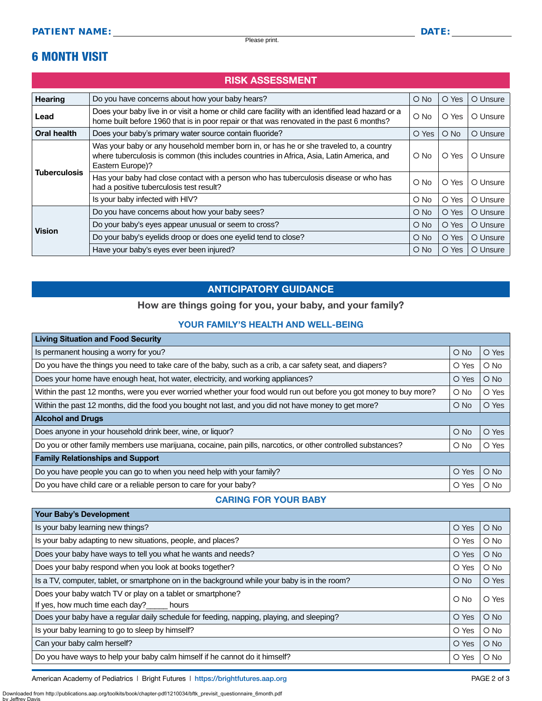# 6 MONTH VISIT

### RISK ASSESSMENT

| Hearing             | Do you have concerns about how your baby hears?                                                                                                                                                         | $\bigcirc$ No | O Yes         | O Unsure |
|---------------------|---------------------------------------------------------------------------------------------------------------------------------------------------------------------------------------------------------|---------------|---------------|----------|
| Lead                | Does your baby live in or visit a home or child care facility with an identified lead hazard or a<br>home built before 1960 that is in poor repair or that was renovated in the past 6 months?          | $\bigcirc$ No | O Yes         | O Unsure |
| Oral health         | Does your baby's primary water source contain fluoride?                                                                                                                                                 | O Yes         | $\bigcirc$ No | O Unsure |
| <b>Tuberculosis</b> | Was your baby or any household member born in, or has he or she traveled to, a country<br>where tuberculosis is common (this includes countries in Africa, Asia, Latin America, and<br>Eastern Europe)? | O No          | O Yes         | O Unsure |
|                     | Has your baby had close contact with a person who has tuberculosis disease or who has<br>had a positive tuberculosis test result?                                                                       | O No          | O Yes         | O Unsure |
|                     | Is your baby infected with HIV?                                                                                                                                                                         | $\circ$ No    | O Yes         | O Unsure |
| <b>Vision</b>       | Do you have concerns about how your baby sees?                                                                                                                                                          | $\bigcirc$ No | O Yes         | O Unsure |
|                     | Do your baby's eyes appear unusual or seem to cross?                                                                                                                                                    | $O$ No        | O Yes         | O Unsure |
|                     | Do your baby's eyelids droop or does one eyelid tend to close?                                                                                                                                          | $\bigcirc$ No | O Yes         | O Unsure |
|                     | Have your baby's eyes ever been injured?                                                                                                                                                                | O No          | O Yes         | O Unsure |

## ANTICIPATORY GUIDANCE

### How are things going for you, your baby, and your family?

#### YOUR FAMILY'S HEALTH AND WELL-BEING

| <b>Living Situation and Food Security</b>                                                                          |            |        |  |  |  |
|--------------------------------------------------------------------------------------------------------------------|------------|--------|--|--|--|
| Is permanent housing a worry for you?                                                                              |            | O Yes  |  |  |  |
| Do you have the things you need to take care of the baby, such as a crib, a car safety seat, and diapers?          |            | $O$ No |  |  |  |
| Does your home have enough heat, hot water, electricity, and working appliances?                                   |            | $O$ No |  |  |  |
| Within the past 12 months, were you ever worried whether your food would run out before you got money to buy more? | $\circ$ No | O Yes  |  |  |  |
| Within the past 12 months, did the food you bought not last, and you did not have money to get more?               |            | O Yes  |  |  |  |
| <b>Alcohol and Drugs</b>                                                                                           |            |        |  |  |  |
| Does anyone in your household drink beer, wine, or liquor?                                                         | $O$ No     | O Yes  |  |  |  |
| Do you or other family members use marijuana, cocaine, pain pills, narcotics, or other controlled substances?      | $\circ$ No | O Yes  |  |  |  |
| <b>Family Relationships and Support</b>                                                                            |            |        |  |  |  |
| Do you have people you can go to when you need help with your family?                                              | O Yes      | $O$ No |  |  |  |
| Do you have child care or a reliable person to care for your baby?                                                 |            | $O$ No |  |  |  |

#### CARING FOR YOUR BABY

| <b>Your Baby's Development</b>                                                                |               |            |
|-----------------------------------------------------------------------------------------------|---------------|------------|
| Is your baby learning new things?                                                             |               | $O$ No     |
| Is your baby adapting to new situations, people, and places?                                  |               | $O$ No     |
| Does your baby have ways to tell you what he wants and needs?                                 |               | $O$ No     |
| Does your baby respond when you look at books together?                                       | O Yes         | $\circ$ No |
| Is a TV, computer, tablet, or smartphone on in the background while your baby is in the room? | $\bigcirc$ No | O Yes      |
| Does your baby watch TV or play on a tablet or smartphone?<br>$\circ$ No                      |               | O Yes      |
| If yes, how much time each day?_____ hours                                                    |               |            |
| Does your baby have a regular daily schedule for feeding, napping, playing, and sleeping?     | O Yes         | $O$ No     |
| Is your baby learning to go to sleep by himself?                                              | O Yes         | $O$ No     |
| Can your baby calm herself?                                                                   | O Yes         | $O$ No     |
| Do you have ways to help your baby calm himself if he cannot do it himself?                   |               | $\circ$ No |

American Academy of Pediatrics | Bright Futures | https:/[/brightfutures.aap.org](https://brightfutures.aap.org/Pages/default.aspx) | Namerican Academy of Pediatrics | Bright Futures | https://brightfutures.aap.org